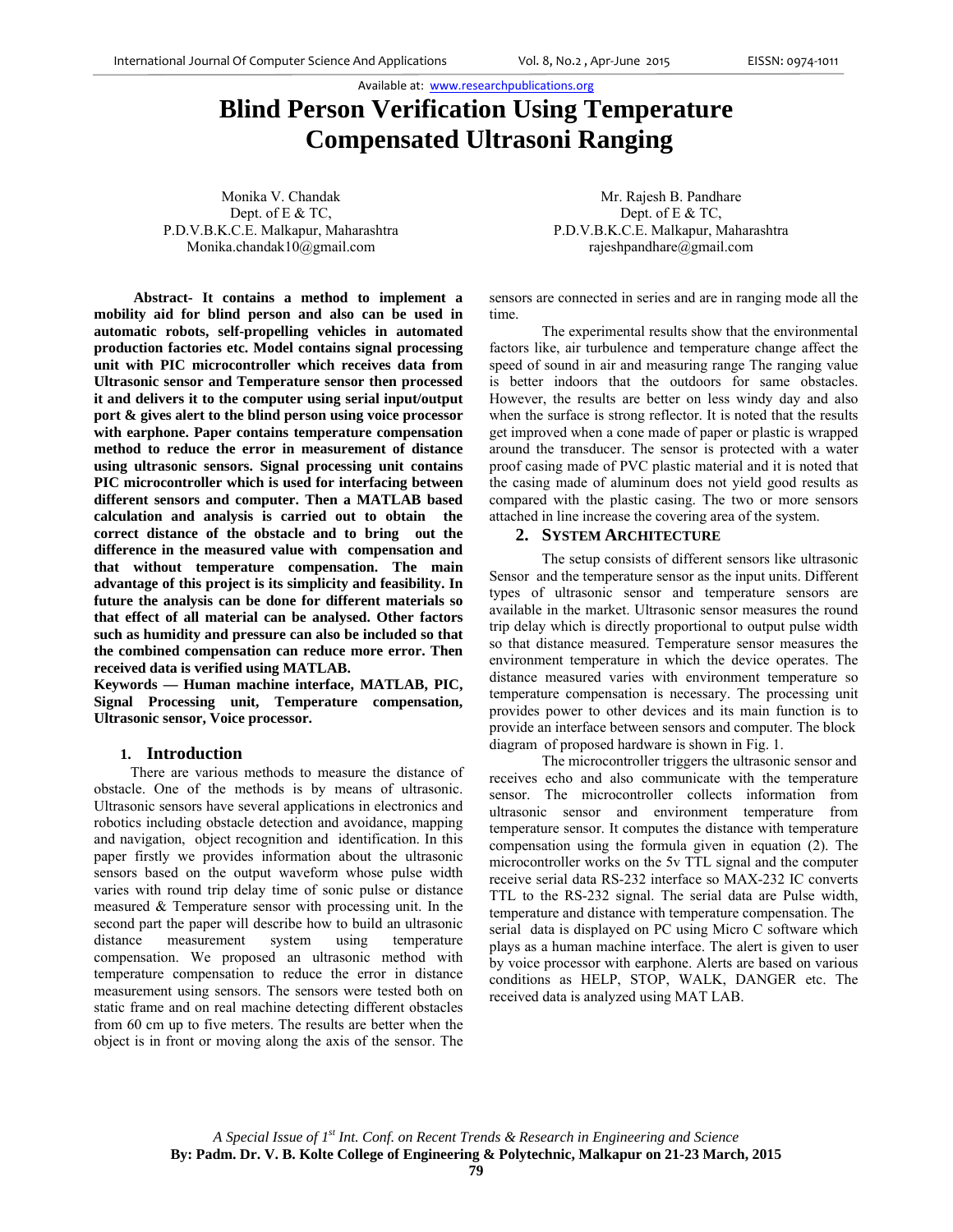Available at: www.researchpublications.org

# **Blind Person Verification Using Temperature Compensated Ultrasoni Ranging**

Monika V. Chandak Dept. of E & TC, P.D.V.B.K.C.E. Malkapur, Maharashtra Monika.chandak10@gmail.com

**Abstract- It contains a method to implement a mobility aid for blind person and also can be used in automatic robots, self-propelling vehicles in automated production factories etc. Model contains signal processing unit with PIC microcontroller which receives data from Ultrasonic sensor and Temperature sensor then processed it and delivers it to the computer using serial input/output port & gives alert to the blind person using voice processor with earphone. Paper contains temperature compensation method to reduce the error in measurement of distance using ultrasonic sensors. Signal processing unit contains PIC microcontroller which is used for interfacing between different sensors and computer. Then a MATLAB based calculation and analysis is carried out to obtain the correct distance of the obstacle and to bring out the difference in the measured value with compensation and that without temperature compensation. The main advantage of this project is its simplicity and feasibility. In future the analysis can be done for different materials so that effect of all material can be analysed. Other factors such as humidity and pressure can also be included so that the combined compensation can reduce more error. Then received data is verified using MATLAB.** 

**Keywords — Human machine interface, MATLAB, PIC, Signal Processing unit, Temperature compensation, Ultrasonic sensor, Voice processor.** 

## **1. Introduction**

 There are various methods to measure the distance of obstacle. One of the methods is by means of ultrasonic. Ultrasonic sensors have several applications in electronics and robotics including obstacle detection and avoidance, mapping and navigation, object recognition and identification. In this paper firstly we provides information about the ultrasonic sensors based on the output waveform whose pulse width varies with round trip delay time of sonic pulse or distance measured & Temperature sensor with processing unit. In the second part the paper will describe how to build an ultrasonic distance measurement system using temperature compensation. We proposed an ultrasonic method with temperature compensation to reduce the error in distance measurement using sensors. The sensors were tested both on static frame and on real machine detecting different obstacles from 60 cm up to five meters. The results are better when the object is in front or moving along the axis of the sensor. The

Mr. Rajesh B. Pandhare Dept. of E & TC, P.D.V.B.K.C.E. Malkapur, Maharashtra rajeshpandhare@gmail.com

sensors are connected in series and are in ranging mode all the time.

 The experimental results show that the environmental factors like, air turbulence and temperature change affect the speed of sound in air and measuring range The ranging value is better indoors that the outdoors for same obstacles. However, the results are better on less windy day and also when the surface is strong reflector. It is noted that the results get improved when a cone made of paper or plastic is wrapped around the transducer. The sensor is protected with a water proof casing made of PVC plastic material and it is noted that the casing made of aluminum does not yield good results as compared with the plastic casing. The two or more sensors attached in line increase the covering area of the system.

## **2. SYSTEM ARCHITECTURE**

The setup consists of different sensors like ultrasonic Sensor and the temperature sensor as the input units. Different types of ultrasonic sensor and temperature sensors are available in the market. Ultrasonic sensor measures the round trip delay which is directly proportional to output pulse width so that distance measured. Temperature sensor measures the environment temperature in which the device operates. The distance measured varies with environment temperature so temperature compensation is necessary. The processing unit provides power to other devices and its main function is to provide an interface between sensors and computer. The block diagram of proposed hardware is shown in Fig. 1.

The microcontroller triggers the ultrasonic sensor and receives echo and also communicate with the temperature sensor. The microcontroller collects information from ultrasonic sensor and environment temperature from temperature sensor. It computes the distance with temperature compensation using the formula given in equation (2). The microcontroller works on the 5v TTL signal and the computer receive serial data RS-232 interface so MAX-232 IC converts TTL to the RS-232 signal. The serial data are Pulse width, temperature and distance with temperature compensation. The serial data is displayed on PC using Micro C software which plays as a human machine interface. The alert is given to user by voice processor with earphone. Alerts are based on various conditions as HELP, STOP, WALK, DANGER etc. The received data is analyzed using MAT LAB.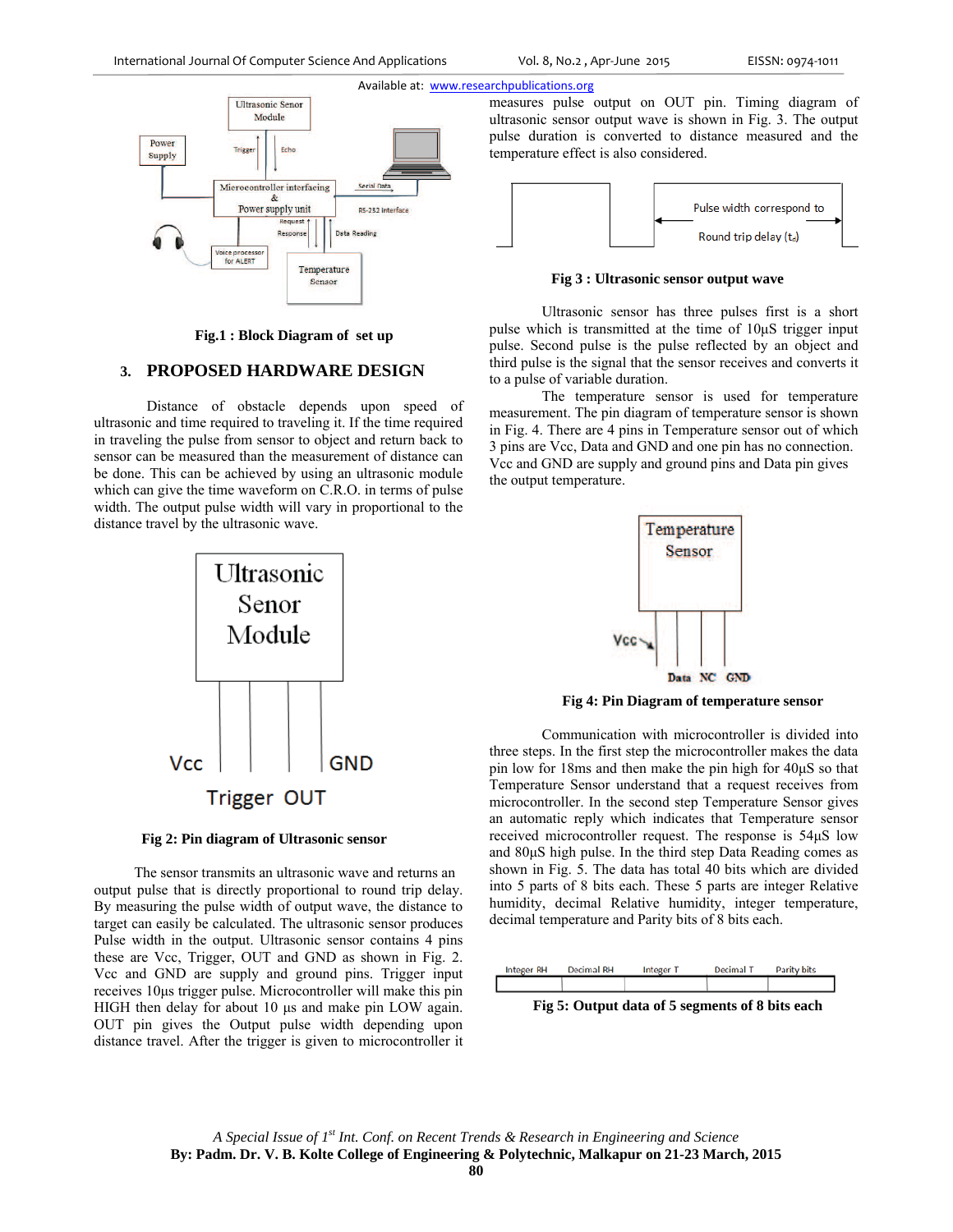

 **Fig.1 : Block Diagram of set up** 

## **3. PROPOSED HARDWARE DESIGN**

Distance of obstacle depends upon speed of ultrasonic and time required to traveling it. If the time required in traveling the pulse from sensor to object and return back to sensor can be measured than the measurement of distance can be done. This can be achieved by using an ultrasonic module which can give the time waveform on C.R.O. in terms of pulse width. The output pulse width will vary in proportional to the distance travel by the ultrasonic wave.



### **Fig 2: Pin diagram of Ultrasonic sensor**

 The sensor transmits an ultrasonic wave and returns an output pulse that is directly proportional to round trip delay. By measuring the pulse width of output wave, the distance to target can easily be calculated. The ultrasonic sensor produces Pulse width in the output. Ultrasonic sensor contains 4 pins these are Vcc, Trigger, OUT and GND as shown in Fig. 2. Vcc and GND are supply and ground pins. Trigger input receives 10μs trigger pulse. Microcontroller will make this pin HIGH then delay for about 10 μs and make pin LOW again. OUT pin gives the Output pulse width depending upon distance travel. After the trigger is given to microcontroller it measures pulse output on OUT pin. Timing diagram of ultrasonic sensor output wave is shown in Fig. 3. The output pulse duration is converted to distance measured and the temperature effect is also considered.



**Fig 3 : Ultrasonic sensor output wave** 

Ultrasonic sensor has three pulses first is a short pulse which is transmitted at the time of 10μS trigger input pulse. Second pulse is the pulse reflected by an object and third pulse is the signal that the sensor receives and converts it to a pulse of variable duration.

The temperature sensor is used for temperature measurement. The pin diagram of temperature sensor is shown in Fig. 4. There are 4 pins in Temperature sensor out of which 3 pins are Vcc, Data and GND and one pin has no connection. Vcc and GND are supply and ground pins and Data pin gives the output temperature.



**Fig 4: Pin Diagram of temperature sensor** 

Communication with microcontroller is divided into three steps. In the first step the microcontroller makes the data pin low for 18ms and then make the pin high for 40μS so that Temperature Sensor understand that a request receives from microcontroller. In the second step Temperature Sensor gives an automatic reply which indicates that Temperature sensor received microcontroller request. The response is 54μS low and 80μS high pulse. In the third step Data Reading comes as shown in Fig. 5. The data has total 40 bits which are divided into 5 parts of 8 bits each. These 5 parts are integer Relative humidity, decimal Relative humidity, integer temperature, decimal temperature and Parity bits of 8 bits each.



 **Fig 5: Output data of 5 segments of 8 bits each**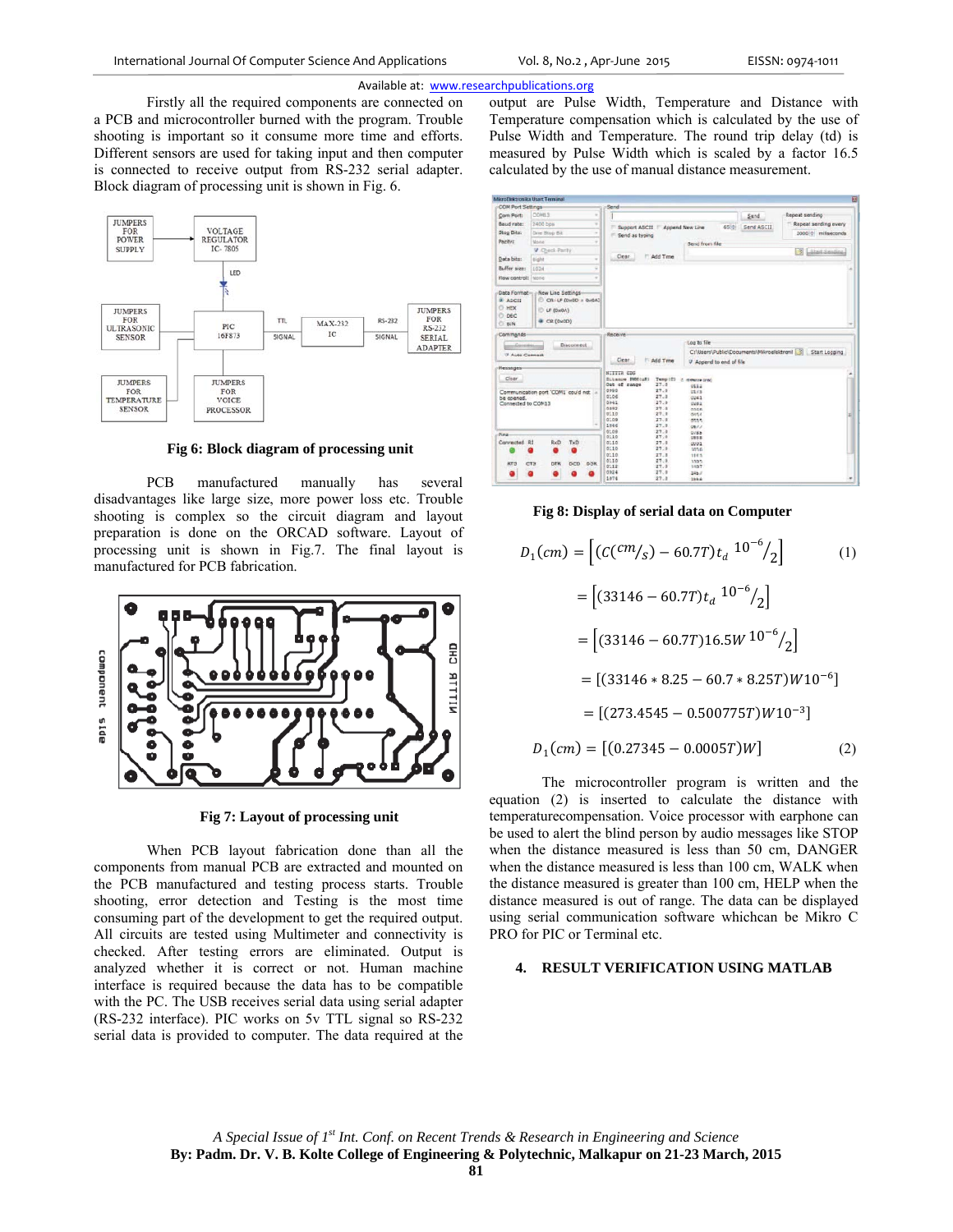#### Available at: www.researchpublications.org

Firstly all the required components are connected on a PCB and microcontroller burned with the program. Trouble shooting is important so it consume more time and efforts. Different sensors are used for taking input and then computer is connected to receive output from RS-232 serial adapter. Block diagram of processing unit is shown in Fig. 6.



Fig 6: Block diagram of processing unit

**PCB** manufactured manually has several disadvantages like large size, more power loss etc. Trouble shooting is complex so the circuit diagram and layout preparation is done on the ORCAD software. Layout of processing unit is shown in Fig.7. The final layout is manufactured for PCB fabrication.



Fig 7: Layout of processing unit

When PCB lavout fabrication done than all the components from manual PCB are extracted and mounted on the PCB manufactured and testing process starts. Trouble shooting, error detection and Testing is the most time consuming part of the development to get the required output. All circuits are tested using Multimeter and connectivity is checked. After testing errors are eliminated. Output is analyzed whether it is correct or not. Human machine interface is required because the data has to be compatible with the PC. The USB receives serial data using serial adapter (RS-232 interface). PIC works on 5v TTL signal so RS-232 serial data is provided to computer. The data required at the

output are Pulse Width, Temperature and Distance with Temperature compensation which is calculated by the use of Pulse Width and Temperature. The round trip delay (td) is measured by Pulse Width which is scaled by a factor 16.5 calculated by the use of manual distance measurement.

| <b>COM Port Settings</b>                                                                 |                                                |             | Send                 |                                 |              |                           |      |                                           |                      |
|------------------------------------------------------------------------------------------|------------------------------------------------|-------------|----------------------|---------------------------------|--------------|---------------------------|------|-------------------------------------------|----------------------|
| Com Port:                                                                                | COM13                                          |             |                      |                                 |              |                           |      | Send.                                     | Repeat sending       |
| Baud rate:                                                                               | 2400 bps                                       |             | ٠                    | Support ASCII                   |              | Append New Line           | 65.2 | Send ASCII                                | Repeat sending every |
| <b>Stop Dits:</b>                                                                        | One Stop Bit                                   |             |                      | Send as typing                  |              |                           |      |                                           | 2000 miliseconds     |
| Parity:                                                                                  | <b>None</b>                                    |             |                      |                                 |              | <b>Send from file</b>     |      |                                           |                      |
|                                                                                          | <b>V</b> Check-Parity                          |             |                      |                                 |              |                           |      |                                           | B<br>Start Sanding   |
| Data bits:                                                                               | Eight                                          |             |                      | Clear                           | Add Tme      |                           |      |                                           |                      |
| Buffer size:                                                                             | 1024                                           |             |                      |                                 |              |                           |      |                                           |                      |
| <b>Now control:</b>                                                                      | NOISE                                          |             |                      |                                 |              |                           |      |                                           |                      |
| <b># ASCII</b><br><b>DHEX</b><br>ō<br>DEC<br><b>BIN</b>                                  | CRILE (0x00 + 0x0A)<br>LF (0x0A)<br>C R (0x00) |             |                      |                                 |              |                           |      |                                           |                      |
| Commands                                                                                 |                                                |             |                      | Receive                         |              |                           |      |                                           |                      |
|                                                                                          |                                                |             |                      |                                 |              |                           |      |                                           |                      |
| Connect                                                                                  |                                                | Disconnect. |                      |                                 |              | Log to file               |      |                                           |                      |
| Auto Connact                                                                             |                                                |             |                      |                                 |              |                           |      | C:\Users\Public\Documents\Mikroelektronil | Start Locqing        |
|                                                                                          |                                                |             |                      | Clear                           | Add Tme      | V Append to end of file   |      |                                           |                      |
|                                                                                          |                                                |             |                      | NITTTE CDG                      |              |                           |      |                                           |                      |
| Clear                                                                                    |                                                |             |                      | Ditamor POS(uS)<br>Out of range | 27.0         | Tump (C) c. memorie (FBC) |      |                                           |                      |
|                                                                                          | Communication port 'COM1' could not            |             | 0080                 |                                 | 27.0         | 0112<br>11.73             |      |                                           |                      |
|                                                                                          |                                                |             | 0106                 |                                 | 27.0         | 0241                      |      |                                           |                      |
|                                                                                          |                                                |             | 0042<br>0092         |                                 | 27.0<br>27.0 | 0282<br>nsice.            |      |                                           |                      |
|                                                                                          |                                                |             | 0110                 |                                 | 27.3         | 0.054                     |      |                                           |                      |
|                                                                                          |                                                |             | 0109<br>1046         |                                 | 27.0<br>27.0 | 0115                      |      |                                           |                      |
|                                                                                          |                                                |             | 0108                 |                                 | 27.0         | 081.5<br>DJKN.            |      |                                           |                      |
|                                                                                          |                                                |             | 0110                 |                                 | 27.4         | 2855                      |      |                                           |                      |
|                                                                                          | RxD                                            | TxD         | 0110                 |                                 | 27.0         | 0001                      |      |                                           |                      |
|                                                                                          |                                                |             | 0110<br>0110         |                                 | 27.0<br>27.0 | 1056<br>114.5             |      |                                           |                      |
|                                                                                          |                                                |             | 0110                 |                                 | 27.0         | 1305                      |      |                                           |                      |
| Hessages<br>be opened.<br>Connected to COM13<br>Pins-<br>Connected R1<br><b>RTS</b><br>٠ | <b>DTR</b><br>CTS<br>٠                         | DCD         | DSR.<br>0112<br>0024 |                                 | 27.0<br>27.0 | 1457<br>346.7             |      |                                           |                      |

### Fig 8: Display of serial data on Computer

$$
D_1(cm) = \left[ (C(^{cm}/_S) - 60.7T)t_a \frac{10^{-6}}{2} \right]
$$
(1)  
\n
$$
= \left[ (33146 - 60.7T)t_a \frac{10^{-6}}{2} \right]
$$
  
\n
$$
= \left[ (33146 - 60.7T)16.5W \frac{10^{-6}}{2} \right]
$$
  
\n
$$
= \left[ (33146 * 8.25 - 60.7 * 8.25T)W10^{-6} \right]
$$
  
\n
$$
= \left[ (273.4545 - 0.500775T)W10^{-3} \right]
$$
  
\n
$$
D_1(cm) = \left[ (0.27345 - 0.0005T)W \right]
$$
(2)

The microcontroller program is written and the equation (2) is inserted to calculate the distance with temperature compensation. Voice processor with earphone can be used to alert the blind person by audio messages like STOP when the distance measured is less than 50 cm, DANGER when the distance measured is less than 100 cm, WALK when the distance measured is greater than 100 cm, HELP when the distance measured is out of range. The data can be displayed using serial communication software whichcan be Mikro C PRO for PIC or Terminal etc.

## 4. RESULT VERIFICATION USING MATLAB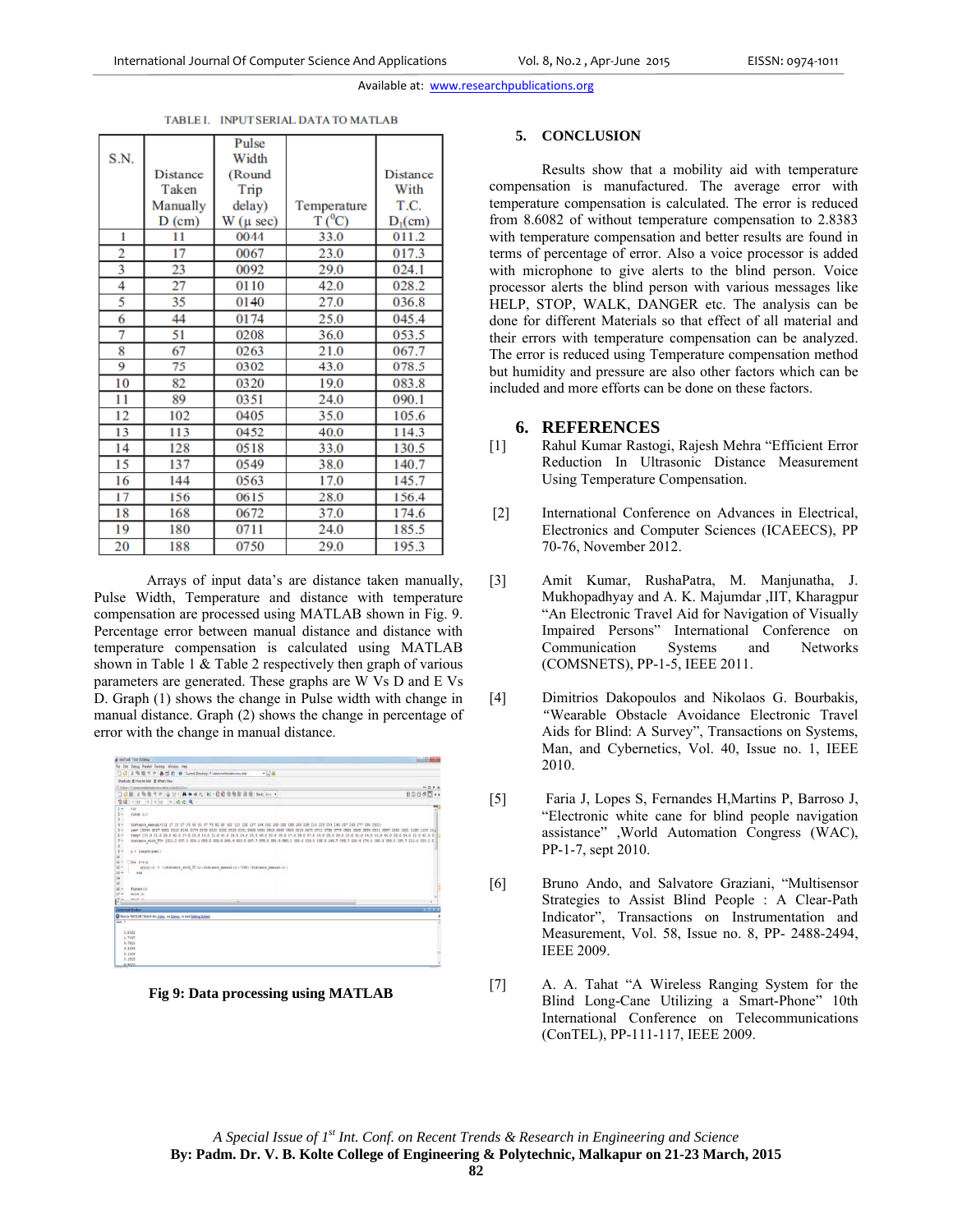Available at: www.researchpublications.org

|      |                 | Pulse                |                          |                 |
|------|-----------------|----------------------|--------------------------|-----------------|
| S.N. |                 | Width                |                          |                 |
|      | <b>Distance</b> | (Round               |                          | <b>Distance</b> |
|      | Taken           | Trip                 |                          | With            |
|      | Manually        | delay)               | Temperature              | T.C.            |
|      | $D$ (cm)        | $W(\mu \text{ sec})$ | $\overline{T}$ ( $^0C$ ) | $D_1$ (cm)      |
| 1    | 11              | 0044                 | 33.0                     | 011.2           |
| 2    | 17              | 0067                 | 23.0                     | 017.3           |
| 3    | 23              | 0092                 | 29.0                     | 024.1           |
| 4    | 27              | 0110                 | 42.0                     | 028.2           |
| 5    | 35              | 0140                 | 27.0                     | 036.8           |
| 6    | 44              | 0174                 | 25.0                     | 045.4           |
| 7    | 51              | 0208                 | 36.0                     | 053.5           |
| 8    | 67              | 0263                 | 21.0                     | 067.7           |
| 9    | 75              | 0302                 | 43.0                     | 078.5           |
| 10   | 82              | 0320                 | 19.0                     | 083.8           |
| 11   | 89              | 0351                 | 24.0                     | 090.1           |
| 12   | 102             | 0405                 | 35.0                     | 105.6           |
| 13   | 113             | 0452                 | 40.0                     | 114.3           |
| 14   | 128             | 0518                 | 33.0                     | 130.5           |
| 15   | 137             | 0549                 | 38.0                     | 140.7           |
| 16   | 144             | 0563                 | 17.0                     | 145.7           |
| 17   | 156             | 0615                 | 28.0                     | 156.4           |
| 18   | 168             | 0672                 | 37.0                     | 174.6           |
| 19   | 180             | 0711                 | 24.0                     | 185.5           |
| 20   | 188             | 0750                 | 29.0                     | 195.3           |

TABLE I. INPUT SERIAL DATA TO MATLAB

## Arrays of input data's are distance taken manually, Pulse Width, Temperature and distance with temperature compensation are processed using MATLAB shown in Fig. 9. Percentage error between manual distance and distance with temperature compensation is calculated using MATLAB shown in Table 1 & Table 2 respectively then graph of various parameters are generated. These graphs are W Vs D and E Vs D. Graph (1) shows the change in Pulse width with change in manual distance. Graph (2) shows the change in percentage of error with the change in manual distance.

| A MATUAL 7.6.0 (\$200.6a)                                                                                                                                                       | <b>Venishe</b> |
|---------------------------------------------------------------------------------------------------------------------------------------------------------------------------------|----------------|
| Fix Edit Debug Parabil Desires Window Hats                                                                                                                                      |                |
| $-18$<br>□□ A 地 造 ウ や . A T 2 D Curret Destroy   Lists/enthalisty.com                                                                                                           |                |
| Startcutz 32 Hourts Add 30 What's New                                                                                                                                           |                |
| T. Address - P. Industry contributed prices at each photograph of the                                                                                                           |                |
| 有着今天   当   3 →   A + + f; k) + 位数值有限温度   bot for +<br>tж                                                                                                                        | <b>BDB60**</b> |
| <b>国語過</b> 0<br>$+11$ $+11$<br>행태                                                                                                                                               |                |
| $2 -$<br>cic                                                                                                                                                                    |                |
| ž.<br>clear ail.                                                                                                                                                                |                |
| ×                                                                                                                                                                               |                |
| $4 -$<br>distance masual=111 17 13 27 35 44 51 47 75 82 89 102 113 128 137 144 156 166 160 180 194 194 205 216 225 234 245 187 248 277 286 2931                                 |                |
| 5.1<br>page 10044 8047 8092 8110 8148 8174 8208 8148 8502 8128 8551 8405 8451 8518 8549 8545 8615 8612 8711 0756 8779 8885 8894 8931 8987 1810 1841                             |                |
| 1.7                                                                                                                                                                             |                |
| $\frac{1}{2}$<br>distance with TC* [011.0 017.3 824.1 028.2 038.8 045.4 052.5 067.7 078.5 081.8 090.1 055.4 114.9 130.5 140.7 155.7 156.4 174.6 185.5 195.3 199.7 211.6 229.3 2 |                |
|                                                                                                                                                                                 |                |
| $\frac{1}{2}$<br>p + length (pws) ;                                                                                                                                             |                |
|                                                                                                                                                                                 |                |
| $11 -$<br>for Little<br>$12 -$                                                                                                                                                  |                |
| apportis = ridistance with 5012)-distance manual(2) 7002) (distance manual(2))<br>$11 -$                                                                                        |                |
| 484<br>- 22                                                                                                                                                                     |                |
|                                                                                                                                                                                 |                |
| $16 -$<br>figure (1)                                                                                                                                                            |                |
| $17 -$<br>hold on                                                                                                                                                               |                |
| mid in                                                                                                                                                                          |                |
| f7c<br>÷                                                                                                                                                                        |                |
| <b>Contract Window</b>                                                                                                                                                          | 1011           |
| O New to MATLART Watch this gides, the Damas, or med Selling Barbad-                                                                                                            |                |
| $\frac{1}{2}$                                                                                                                                                                   |                |
|                                                                                                                                                                                 |                |
| 1,8187                                                                                                                                                                          |                |
| 1.7647                                                                                                                                                                          |                |
| 4,7826                                                                                                                                                                          |                |
| 4.4444                                                                                                                                                                          |                |
| 5.1415                                                                                                                                                                          |                |
| 3.1910                                                                                                                                                                          |                |
| A. STOR                                                                                                                                                                         |                |

**Fig 9: Data processing using MATLAB** 

### **5. CONCLUSION**

Results show that a mobility aid with temperature compensation is manufactured. The average error with temperature compensation is calculated. The error is reduced from 8.6082 of without temperature compensation to 2.8383 with temperature compensation and better results are found in terms of percentage of error. Also a voice processor is added with microphone to give alerts to the blind person. Voice processor alerts the blind person with various messages like HELP, STOP, WALK, DANGER etc. The analysis can be done for different Materials so that effect of all material and their errors with temperature compensation can be analyzed. The error is reduced using Temperature compensation method but humidity and pressure are also other factors which can be included and more efforts can be done on these factors.

# **6. REFERENCES**

- [1] Rahul Kumar Rastogi, Rajesh Mehra "Efficient Error Reduction In Ultrasonic Distance Measurement Using Temperature Compensation.
- [2] International Conference on Advances in Electrical, Electronics and Computer Sciences (ICAEECS), PP 70-76, November 2012.
- [3] Amit Kumar, RushaPatra, M. Manjunatha, J. Mukhopadhyay and A. K. Majumdar ,IIT, Kharagpur "An Electronic Travel Aid for Navigation of Visually Impaired Persons" International Conference on Communication Systems and Networks (COMSNETS), PP-1-5, IEEE 2011.
- [4] Dimitrios Dakopoulos and Nikolaos G. Bourbakis*, "*Wearable Obstacle Avoidance Electronic Travel Aids for Blind: A Survey", Transactions on Systems, Man, and Cybernetics, Vol. 40, Issue no. 1, IEEE 2010.
- [5] Faria J, Lopes S, Fernandes H,Martins P, Barroso J, "Electronic white cane for blind people navigation assistance" ,World Automation Congress (WAC), PP-1-7, sept 2010.
- [6] Bruno Ando, and Salvatore Graziani, "Multisensor Strategies to Assist Blind People : A Clear-Path Indicator", Transactions on Instrumentation and Measurement, Vol. 58, Issue no. 8, PP- 2488-2494, IEEE 2009.
- [7] A. A. Tahat "A Wireless Ranging System for the Blind Long-Cane Utilizing a Smart-Phone" 10th International Conference on Telecommunications (ConTEL), PP-111-117, IEEE 2009.